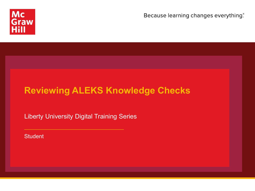

Because learning changes everything.

# **Reviewing ALEKS Knowledge Checks**

Liberty University Digital Training Series

**Student**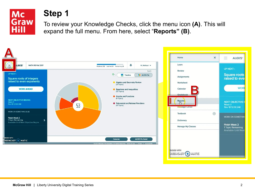

## **Step 1**

To review your Knowledge Checks, click the menu icon **(A)**. This will expand the full menu. From here, select "**Reports" (B)**.

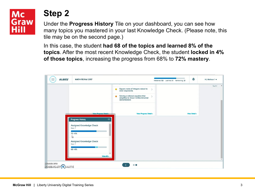#### **Mc Graw** Hill

### **Step 2**

Under the **Progress History** Tile on your dashboard, you can see how many topics you mastered in your last Knowledge Check. (Please note, this tile may be on the second page.)

In this case, the student **had 68 of the topics and learned 8% of the topics**. After the most recent Knowledge Check, the student **locked in 4% of those topics**, increasing the progress from 68% to **72% mastery**.

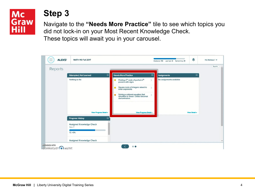#### **Mc Graw** Hill

### **Step 3**

Navigate to the **"Needs More Practice"** tile to see which topics you did not lock-in on your Most Recent Knowledge Check. These topics will await you in your carousel.

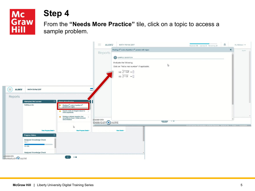

### **Step 4**

From the **"Needs More Practice"** tile, click on a topic to access a sample problem.